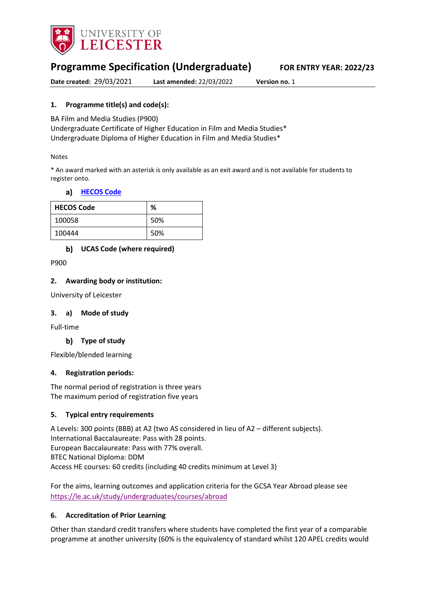

# **Programme Specification (Undergraduate) FOR ENTRY YEAR: 2022/23**

**Date created:** 29/03/2021 **Last amended:** 22/03/2022 **Version no.** 1

# **1. Programme title(s) and code(s):**

BA Film and Media Studies (P900)

Undergraduate Certificate of Higher Education in Film and Media Studies\* Undergraduate Diploma of Higher Education in Film and Media Studies\*

#### Notes

\* An award marked with an asterisk is only available as an exit award and is not available for students to register onto.

#### **[HECOS Code](https://www.hesa.ac.uk/innovation/hecos)**

| <b>HECOS Code</b> | %   |
|-------------------|-----|
| 100058            | 50% |
| 100444            | 50% |

### **UCAS Code (where required)**

P900

#### **2. Awarding body or institution:**

University of Leicester

#### **3. a) Mode of study**

Full-time

### **Type of study**

Flexible/blended learning

#### **4. Registration periods:**

The normal period of registration is three years The maximum period of registration five years

#### **5. Typical entry requirements**

A Levels: 300 points (BBB) at A2 (two AS considered in lieu of A2 – different subjects). International Baccalaureate: Pass with 28 points. European Baccalaureate: Pass with 77% overall. BTEC National Diploma: DDM Access HE courses: 60 credits (including 40 credits minimum at Level 3)

For the aims, learning outcomes and application criteria for the GCSA Year Abroad please see <https://le.ac.uk/study/undergraduates/courses/abroad>

#### **6. Accreditation of Prior Learning**

Other than standard credit transfers where students have completed the first year of a comparable programme at another university (60% is the equivalency of standard whilst 120 APEL credits would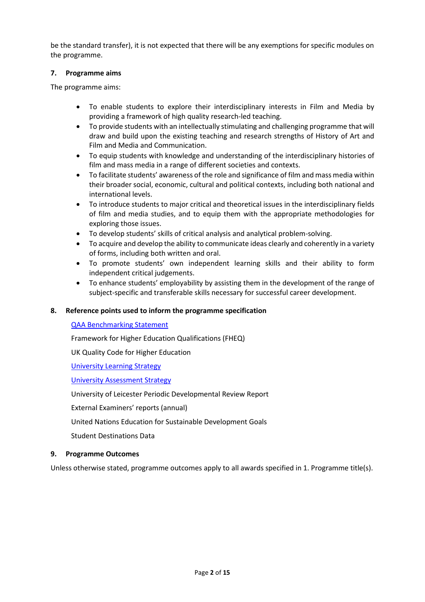be the standard transfer), it is not expected that there will be any exemptions for specific modules on the programme.

#### **7. Programme aims**

The programme aims:

- To enable students to explore their interdisciplinary interests in Film and Media by providing a framework of high quality research-led teaching.
- To provide students with an intellectually stimulating and challenging programme that will draw and build upon the existing teaching and research strengths of History of Art and Film and Media and Communication.
- To equip students with knowledge and understanding of the interdisciplinary histories of film and mass media in a range of different societies and contexts.
- To facilitate students' awareness of the role and significance of film and mass media within their broader social, economic, cultural and political contexts, including both national and international levels.
- To introduce students to major critical and theoretical issues in the interdisciplinary fields of film and media studies, and to equip them with the appropriate methodologies for exploring those issues.
- To develop students' skills of critical analysis and analytical problem-solving.
- To acquire and develop the ability to communicate ideas clearly and coherently in a variety of forms, including both written and oral.
- To promote students' own independent learning skills and their ability to form independent critical judgements.
- To enhance students' employability by assisting them in the development of the range of subject-specific and transferable skills necessary for successful career development.

### **8. Reference points used to inform the programme specification**

#### [QAA Benchmarking Statement](https://eur03.safelinks.protection.outlook.com/?url=https%3A%2F%2Fwww.qaa.ac.uk%2Fdocs%2Fqaa%2Fsubject-benchmark-statements%2Fsubject-benchmark-statement-communication-media-film-and-cultural-studies.pdf%3Fsfvrsn%3D28e2cb81_4&data=04%7C01%7Cmn29%40leicester.ac.uk%7C75eedf4f58064b63072308d8e9439438%7Caebecd6a31d44b0195ce8274afe853d9%7C0%7C0%7C637515823741731634%7CUnknown%7CTWFpbGZsb3d8eyJWIjoiMC4wLjAwMDAiLCJQIjoiV2luMzIiLCJBTiI6Ik1haWwiLCJXVCI6Mn0%3D%7C1000&sdata=TlHeIOw3raJAJU6Zg%2Fj3o9CGUOv%2B13CanUAhIk5ow%2F8%3D&reserved=0)

Framework for Higher Education Qualifications (FHEQ)

UK Quality Code for Higher Education

University Learning [Strategy](https://www2.le.ac.uk/offices/sas2/quality/learnteach)

[University Assessment Strategy](https://www2.le.ac.uk/offices/sas2/quality/learnteach)

University of Leicester Periodic Developmental Review Report

External Examiners' reports (annual)

United Nations Education for Sustainable Development Goals

Student Destinations Data

#### **9. Programme Outcomes**

Unless otherwise stated, programme outcomes apply to all awards specified in 1. Programme title(s).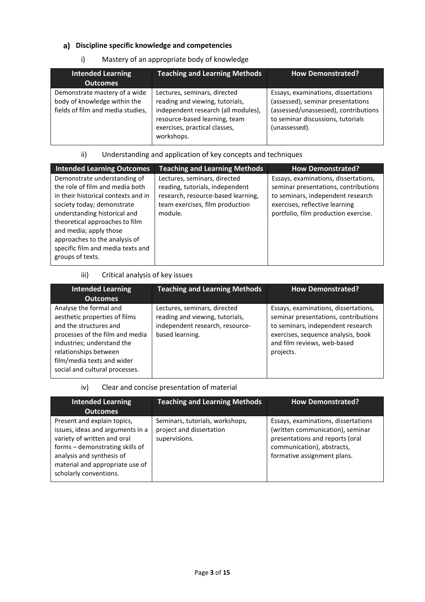# **Discipline specific knowledge and competencies**

### i) Mastery of an appropriate body of knowledge

| <b>Intended Learning</b>                                                                           | <b>Teaching and Learning Methods</b>                                                                                                                                                   | <b>How Demonstrated?</b>                                                                                                                                               |
|----------------------------------------------------------------------------------------------------|----------------------------------------------------------------------------------------------------------------------------------------------------------------------------------------|------------------------------------------------------------------------------------------------------------------------------------------------------------------------|
| <b>Outcomes</b>                                                                                    |                                                                                                                                                                                        |                                                                                                                                                                        |
| Demonstrate mastery of a wide<br>body of knowledge within the<br>fields of film and media studies, | Lectures, seminars, directed<br>reading and viewing, tutorials,<br>independent research (all modules),<br>resource-based learning, team<br>exercises, practical classes,<br>workshops. | Essays, examinations, dissertations<br>(assessed), seminar presentations<br>(assessed/unassessed), contributions<br>to seminar discussions, tutorials<br>(unassessed). |

### ii) Understanding and application of key concepts and techniques

| <b>Intended Learning Outcomes</b>                                                                                                                                                                                                                                                                                          | <b>Teaching and Learning Methods</b>                                                                                                                | <b>How Demonstrated?</b>                                                                                                                                                                    |
|----------------------------------------------------------------------------------------------------------------------------------------------------------------------------------------------------------------------------------------------------------------------------------------------------------------------------|-----------------------------------------------------------------------------------------------------------------------------------------------------|---------------------------------------------------------------------------------------------------------------------------------------------------------------------------------------------|
| Demonstrate understanding of<br>the role of film and media both<br>in their historical contexts and in<br>society today; demonstrate<br>understanding historical and<br>theoretical approaches to film<br>and media; apply those<br>approaches to the analysis of<br>specific film and media texts and<br>groups of texts. | Lectures, seminars, directed<br>reading, tutorials, independent<br>research, resource-based learning,<br>team exercises, film production<br>module. | Essays, examinations, dissertations,<br>seminar presentations, contributions<br>to seminars, independent research<br>exercises, reflective learning<br>portfolio, film production exercise. |

#### iii) Critical analysis of key issues

| <b>Intended Learning</b><br><b>Outcomes</b>                                                                                                                                                                                                 | <b>Teaching and Learning Methods</b>                                                                                  | <b>How Demonstrated?</b>                                                                                                                                                                            |
|---------------------------------------------------------------------------------------------------------------------------------------------------------------------------------------------------------------------------------------------|-----------------------------------------------------------------------------------------------------------------------|-----------------------------------------------------------------------------------------------------------------------------------------------------------------------------------------------------|
| Analyse the formal and<br>aesthetic properties of films<br>and the structures and<br>processes of the film and media<br>industries; understand the<br>relationships between<br>film/media texts and wider<br>social and cultural processes. | Lectures, seminars, directed<br>reading and viewing, tutorials,<br>independent research, resource-<br>based learning. | Essays, examinations, dissertations,<br>seminar presentations, contributions<br>to seminars, independent research<br>exercises, sequence analysis, book<br>and film reviews, web-based<br>projects. |

iv) Clear and concise presentation of material

| <b>Intended Learning</b><br><b>Outcomes</b>                                                                                                                                                                                 | <b>Teaching and Learning Methods</b>                                         | <b>How Demonstrated?</b>                                                                                                                                                |
|-----------------------------------------------------------------------------------------------------------------------------------------------------------------------------------------------------------------------------|------------------------------------------------------------------------------|-------------------------------------------------------------------------------------------------------------------------------------------------------------------------|
| Present and explain topics,<br>issues, ideas and arguments in a<br>variety of written and oral<br>forms - demonstrating skills of<br>analysis and synthesis of<br>material and appropriate use of<br>scholarly conventions. | Seminars, tutorials, workshops,<br>project and dissertation<br>supervisions. | Essays, examinations, dissertations<br>(written communication), seminar<br>presentations and reports (oral<br>communication), abstracts,<br>formative assignment plans. |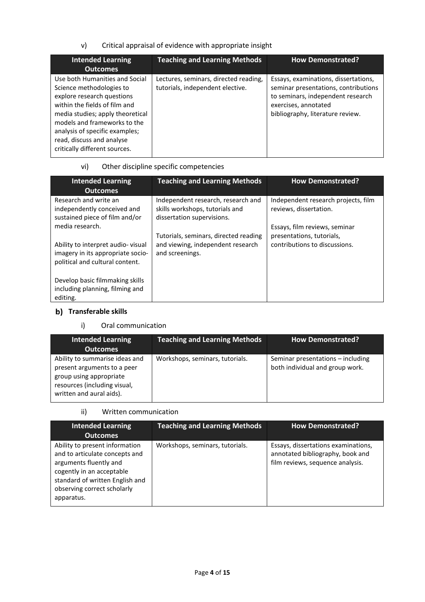v) Critical appraisal of evidence with appropriate insight

| <b>Intended Learning</b><br><b>Outcomes</b>                                                                                                                                                                                                                                                   | <b>Teaching and Learning Methods</b>                                      | <b>How Demonstrated?</b>                                                                                                                                                      |
|-----------------------------------------------------------------------------------------------------------------------------------------------------------------------------------------------------------------------------------------------------------------------------------------------|---------------------------------------------------------------------------|-------------------------------------------------------------------------------------------------------------------------------------------------------------------------------|
| Use both Humanities and Social<br>Science methodologies to<br>explore research questions<br>within the fields of film and<br>media studies; apply theoretical<br>models and frameworks to the<br>analysis of specific examples;<br>read, discuss and analyse<br>critically different sources. | Lectures, seminars, directed reading,<br>tutorials, independent elective. | Essays, examinations, dissertations,<br>seminar presentations, contributions<br>to seminars, independent research<br>exercises, annotated<br>bibliography, literature review. |

# vi) Other discipline specific competencies

| <b>Intended Learning</b><br><b>Outcomes</b>                                                               | <b>Teaching and Learning Methods</b>                                                                | <b>How Demonstrated?</b>                                      |
|-----------------------------------------------------------------------------------------------------------|-----------------------------------------------------------------------------------------------------|---------------------------------------------------------------|
| Research and write an<br>independently conceived and<br>sustained piece of film and/or                    | Independent research, research and<br>skills workshops, tutorials and<br>dissertation supervisions. | Independent research projects, film<br>reviews, dissertation. |
| media research.                                                                                           |                                                                                                     | Essays, film reviews, seminar                                 |
| Ability to interpret audio-visual<br>imagery in its appropriate socio-<br>political and cultural content. | Tutorials, seminars, directed reading<br>and viewing, independent research<br>and screenings.       | presentations, tutorials,<br>contributions to discussions.    |
| Develop basic filmmaking skills<br>including planning, filming and<br>editing.                            |                                                                                                     |                                                               |

# **Transferable skills**

# i) Oral communication

| Intended Learning<br><b>Outcomes</b>                                                                                                                 | <b>Teaching and Learning Methods</b> | <b>How Demonstrated?</b>                                             |
|------------------------------------------------------------------------------------------------------------------------------------------------------|--------------------------------------|----------------------------------------------------------------------|
| Ability to summarise ideas and<br>present arguments to a peer<br>group using appropriate<br>resources (including visual,<br>written and aural aids). | Workshops, seminars, tutorials.      | Seminar presentations - including<br>both individual and group work. |

ii) Written communication

| <b>Intended Learning</b>                                                                                                                                                                                | <b>Teaching and Learning Methods</b> | <b>How Demonstrated?</b>                                                                                    |
|---------------------------------------------------------------------------------------------------------------------------------------------------------------------------------------------------------|--------------------------------------|-------------------------------------------------------------------------------------------------------------|
| <b>Outcomes</b>                                                                                                                                                                                         |                                      |                                                                                                             |
| Ability to present information<br>and to articulate concepts and<br>arguments fluently and<br>cogently in an acceptable<br>standard of written English and<br>observing correct scholarly<br>apparatus. | Workshops, seminars, tutorials.      | Essays, dissertations examinations,<br>annotated bibliography, book and<br>film reviews, sequence analysis. |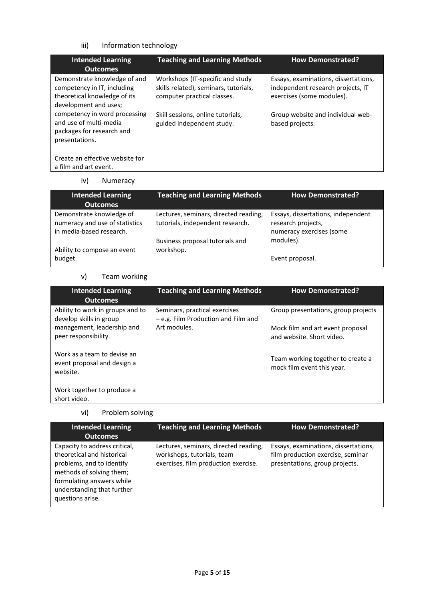# iii) Information technology

| <b>Intended Learning</b><br><b>Outcomes</b>                                                                          | <b>Teaching and Learning Methods</b>                                                                      | <b>How Demonstrated?</b>                                                                               |
|----------------------------------------------------------------------------------------------------------------------|-----------------------------------------------------------------------------------------------------------|--------------------------------------------------------------------------------------------------------|
| Demonstrate knowledge of and<br>competency in IT, including<br>theoretical knowledge of its<br>development and uses; | Workshops (IT-specific and study)<br>skills related), seminars, tutorials,<br>computer practical classes. | Essays, examinations, dissertations,<br>independent research projects, IT<br>exercises (some modules). |
| competency in word processing<br>and use of multi-media<br>packages for research and<br>presentations.               | Skill sessions, online tutorials,<br>guided independent study.                                            | Group website and individual web-<br>based projects.                                                   |
| Create an effective website for<br>a film and art event.                                                             |                                                                                                           |                                                                                                        |

#### iv) Numeracy

| <b>Intended Learning</b><br><b>Outcomes</b>                                            | <b>Teaching and Learning Methods</b>                                      | <b>How Demonstrated?</b>                                                             |
|----------------------------------------------------------------------------------------|---------------------------------------------------------------------------|--------------------------------------------------------------------------------------|
| Demonstrate knowledge of<br>numeracy and use of statistics<br>in media-based research. | Lectures, seminars, directed reading,<br>tutorials, independent research. | Essays, dissertations, independent<br>research projects,<br>numeracy exercises (some |
| Ability to compose an event<br>budget.                                                 | Business proposal tutorials and<br>workshop.                              | modules).<br>Event proposal.                                                         |

# v) Team working

| <b>Intended Learning</b><br><b>Outcomes</b>                            | <b>Teaching and Learning Methods</b>                                 | <b>How Demonstrated?</b>                                        |
|------------------------------------------------------------------------|----------------------------------------------------------------------|-----------------------------------------------------------------|
| Ability to work in groups and to<br>develop skills in group            | Seminars, practical exercises<br>- e.g. Film Production and Film and | Group presentations, group projects                             |
| management, leadership and<br>peer responsibility.                     | Art modules.                                                         | Mock film and art event proposal<br>and website. Short video.   |
| Work as a team to devise an<br>event proposal and design a<br>website. |                                                                      | Team working together to create a<br>mock film event this year. |
| Work together to produce a<br>short video.                             |                                                                      |                                                                 |

# vi) Problem solving

| <b>Intended Learning</b><br><b>Outcomes</b>                                                                                                                                                         | <b>Teaching and Learning Methods</b>                                                                        | <b>How Demonstrated?</b>                                                                                    |
|-----------------------------------------------------------------------------------------------------------------------------------------------------------------------------------------------------|-------------------------------------------------------------------------------------------------------------|-------------------------------------------------------------------------------------------------------------|
| Capacity to address critical,<br>theoretical and historical<br>problems, and to identify<br>methods of solving them;<br>formulating answers while<br>understanding that further<br>questions arise. | Lectures, seminars, directed reading,<br>workshops, tutorials, team<br>exercises, film production exercise. | Essays, examinations, dissertations,<br>film production exercise, seminar<br>presentations, group projects. |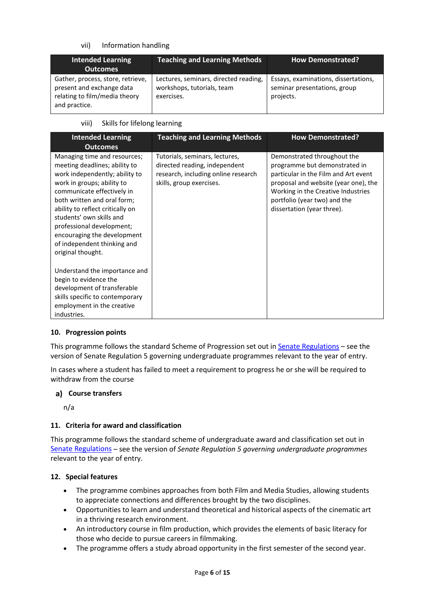### vii) Information handling

| <b>Intended Learning</b><br><b>Outcomes</b>                                                                      | <b>Teaching and Learning Methods</b>                                              | <b>How Demonstrated?</b>                                                          |
|------------------------------------------------------------------------------------------------------------------|-----------------------------------------------------------------------------------|-----------------------------------------------------------------------------------|
| Gather, process, store, retrieve,<br>present and exchange data<br>relating to film/media theory<br>and practice. | Lectures, seminars, directed reading,<br>workshops, tutorials, team<br>exercises. | Essays, examinations, dissertations,<br>seminar presentations, group<br>projects. |

### viii) Skills for lifelong learning

| <b>Intended Learning</b><br><b>Outcomes</b>                                                                                                                                                                                                                                                                                                                                | <b>Teaching and Learning Methods</b>                                                                                               | <b>How Demonstrated?</b>                                                                                                                                                                                                                         |
|----------------------------------------------------------------------------------------------------------------------------------------------------------------------------------------------------------------------------------------------------------------------------------------------------------------------------------------------------------------------------|------------------------------------------------------------------------------------------------------------------------------------|--------------------------------------------------------------------------------------------------------------------------------------------------------------------------------------------------------------------------------------------------|
| Managing time and resources;<br>meeting deadlines; ability to<br>work independently; ability to<br>work in groups; ability to<br>communicate effectively in<br>both written and oral form;<br>ability to reflect critically on<br>students' own skills and<br>professional development;<br>encouraging the development<br>of independent thinking and<br>original thought. | Tutorials, seminars, lectures,<br>directed reading, independent<br>research, including online research<br>skills, group exercises. | Demonstrated throughout the<br>programme but demonstrated in<br>particular in the Film and Art event<br>proposal and website (year one), the<br>Working in the Creative Industries<br>portfolio (year two) and the<br>dissertation (year three). |
| Understand the importance and<br>begin to evidence the<br>development of transferable<br>skills specific to contemporary<br>employment in the creative<br>industries.                                                                                                                                                                                                      |                                                                                                                                    |                                                                                                                                                                                                                                                  |

#### **10. Progression points**

This programme follows the standard Scheme of Progression set out i[n Senate Regulations](http://www.le.ac.uk/senate-regulations) – see the version of Senate Regulation 5 governing undergraduate programmes relevant to the year of entry.

In cases where a student has failed to meet a requirement to progress he or she will be required to withdraw from the course

#### **Course transfers**

n/a

#### **11. Criteria for award and classification**

This programme follows the standard scheme of undergraduate award and classification set out in [Senate Regulations](http://www.le.ac.uk/senate-regulations) – see the version of *Senate Regulation 5 governing undergraduate programmes* relevant to the year of entry.

#### **12. Special features**

- The programme combines approaches from both Film and Media Studies, allowing students to appreciate connections and differences brought by the two disciplines.
- Opportunities to learn and understand theoretical and historical aspects of the cinematic art in a thriving research environment.
- An introductory course in film production, which provides the elements of basic literacy for those who decide to pursue careers in filmmaking.
- The programme offers a study abroad opportunity in the first semester of the second year.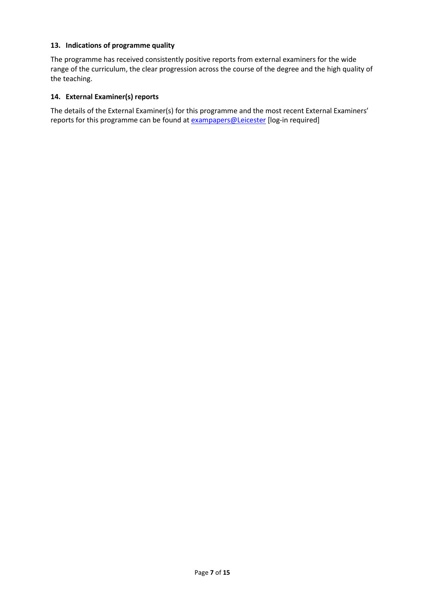#### **13. Indications of programme quality**

The programme has received consistently positive reports from external examiners for the wide range of the curriculum, the clear progression across the course of the degree and the high quality of the teaching.

#### **14. External Examiner(s) reports**

The details of the External Examiner(s) for this programme and the most recent External Examiners' reports for this programme can be found at **[exampapers@Leicester](https://exampapers.le.ac.uk/)** [log-in required]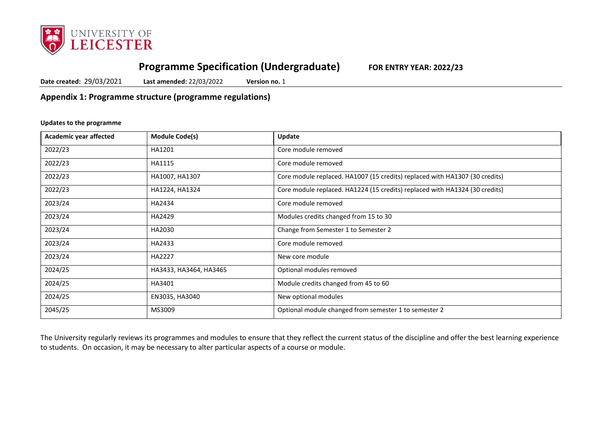

# **Programme Specification (Undergraduate) FOR ENTRY YEAR: 2022/23**

**Date created:** 29/03/2021 **Last amended:** 22/03/2022 **Version no.** 1

**Appendix 1: Programme structure (programme regulations)**

#### **Updates to the programme**

| Academic year affected | <b>Module Code(s)</b>  | Update                                                                      |
|------------------------|------------------------|-----------------------------------------------------------------------------|
| 2022/23                | HA1201                 | Core module removed                                                         |
| 2022/23                | HA1115                 | Core module removed                                                         |
| 2022/23                | HA1007, HA1307         | Core module replaced. HA1007 (15 credits) replaced with HA1307 (30 credits) |
| 2022/23                | HA1224, HA1324         | Core module replaced. HA1224 (15 credits) replaced with HA1324 (30 credits) |
| 2023/24                | HA2434                 | Core module removed                                                         |
| 2023/24                | HA2429                 | Modules credits changed from 15 to 30                                       |
| 2023/24                | HA2030                 | Change from Semester 1 to Semester 2                                        |
| 2023/24                | HA2433                 | Core module removed                                                         |
| 2023/24                | HA2227                 | New core module                                                             |
| 2024/25                | HA3433, HA3464, HA3465 | Optional modules removed                                                    |
| 2024/25                | HA3401                 | Module credits changed from 45 to 60                                        |
| 2024/25                | EN3035, HA3040         | New optional modules                                                        |
| 2045/25                | MS3009                 | Optional module changed from semester 1 to semester 2                       |

The University regularly reviews its programmes and modules to ensure that they reflect the current status of the discipline and offer the best learning experience to students. On occasion, it may be necessary to alter particular aspects of a course or module.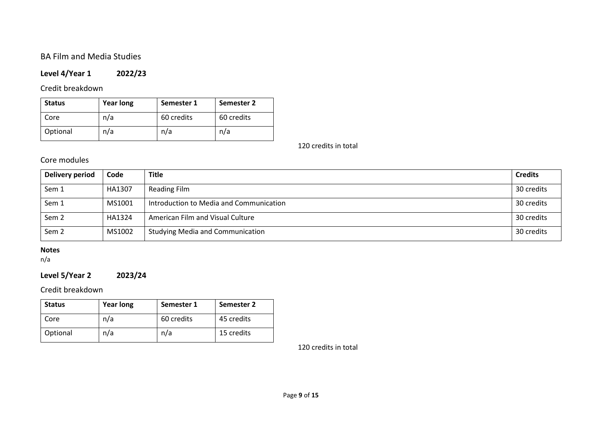# BA Film and Media Studies

# **Level 4/Year 1 2022/23**

# Credit breakdown

| <b>Status</b> | <b>Year long</b> | Semester 1 | Semester 2 |
|---------------|------------------|------------|------------|
| Core          | n/a              | 60 credits | 60 credits |
| Optional      | n/a              | n/a        | n/a        |

120 credits in total

# Core modules

| Delivery period  | Code   | <b>Title</b>                            | <b>Credits</b> |
|------------------|--------|-----------------------------------------|----------------|
| Sem 1            | HA1307 | Reading Film                            | 30 credits     |
| Sem 1            | MS1001 | Introduction to Media and Communication | 30 credits     |
| Sem <sub>2</sub> | HA1324 | American Film and Visual Culture        | 30 credits     |
| Sem <sub>2</sub> | MS1002 | <b>Studying Media and Communication</b> | 30 credits     |

# **Notes**

n/a

# **Level 5/Year 2 2023/24**

# Credit breakdown

| <b>Status</b> | <b>Year long</b> | Semester 1 | Semester 2 |
|---------------|------------------|------------|------------|
| Core          | n/a              | 60 credits | 45 credits |
| Optional      | n/a              | n/a        | 15 credits |

120 credits in total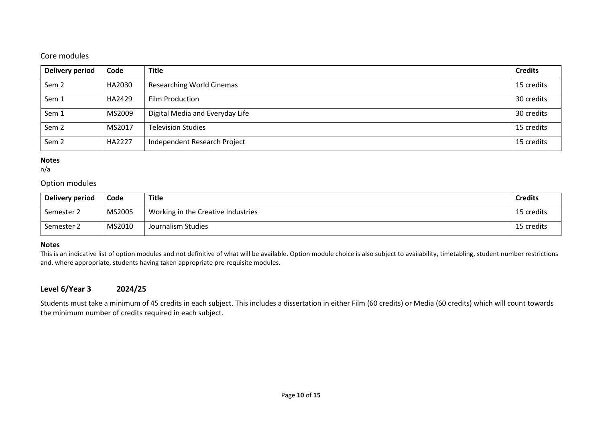# Core modules

| Delivery period  | Code   | <b>Title</b>                     | <b>Credits</b> |
|------------------|--------|----------------------------------|----------------|
| Sem <sub>2</sub> | HA2030 | <b>Researching World Cinemas</b> | 15 credits     |
| Sem 1            | HA2429 | <b>Film Production</b>           | 30 credits     |
| Sem 1            | MS2009 | Digital Media and Everyday Life  | 30 credits     |
| Sem <sub>2</sub> | MS2017 | <b>Television Studies</b>        | 15 credits     |
| Sem <sub>2</sub> | HA2227 | Independent Research Project     | 15 credits     |

#### **Notes**

n/a

### Option modules

| Delivery period | Code   | Title                              | <b>Credits</b> |
|-----------------|--------|------------------------------------|----------------|
| Semester 2      | MS2005 | Working in the Creative Industries | 15 credits     |
| Semester 2      | MS2010 | Journalism Studies                 | 15 credits     |

#### **Notes**

This is an indicative list of option modules and not definitive of what will be available. Option module choice is also subject to availability, timetabling, student number restrictions and, where appropriate, students having taken appropriate pre-requisite modules.

# **Level 6/Year 3 2024/25**

Students must take a minimum of 45 credits in each subject. This includes a dissertation in either Film (60 credits) or Media (60 credits) which will count towards the minimum number of credits required in each subject.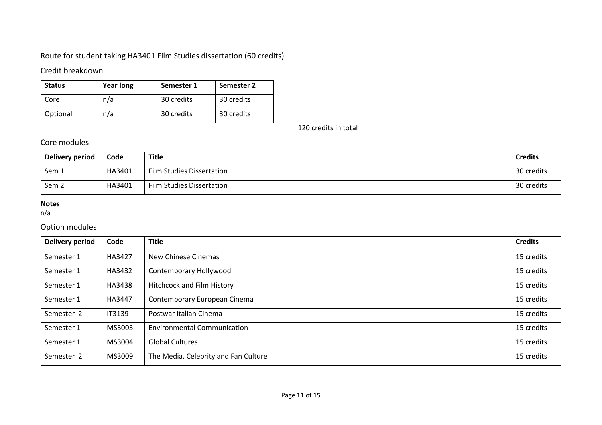# Route for student taking HA3401 Film Studies dissertation (60 credits).

# Credit breakdown

| <b>Status</b> | <b>Year long</b> | Semester 1 | Semester 2 |
|---------------|------------------|------------|------------|
| Core          | n/a              | 30 credits | 30 credits |
| Optional      | n/a              | 30 credits | 30 credits |

120 credits in total

# Core modules

| Delivery period | Code   | Title                     | <b>Credits</b> |
|-----------------|--------|---------------------------|----------------|
| Sem 1           | HA3401 | Film Studies Dissertation | 30 credits     |
| Sem 2           | HA3401 | Film Studies Dissertation | 30 credits     |

# **Notes**

n/a

# Option modules

| <b>Delivery period</b> | Code          | <b>Title</b>                         | <b>Credits</b> |
|------------------------|---------------|--------------------------------------|----------------|
| Semester 1             | HA3427        | New Chinese Cinemas                  | 15 credits     |
| Semester 1             | HA3432        | Contemporary Hollywood               | 15 credits     |
| Semester 1             | HA3438        | Hitchcock and Film History           | 15 credits     |
| Semester 1             | HA3447        | Contemporary European Cinema         | 15 credits     |
| Semester 2             | <b>IT3139</b> | Postwar Italian Cinema               | 15 credits     |
| Semester 1             | MS3003        | <b>Environmental Communication</b>   | 15 credits     |
| Semester 1             | MS3004        | <b>Global Cultures</b>               | 15 credits     |
| Semester 2             | MS3009        | The Media, Celebrity and Fan Culture | 15 credits     |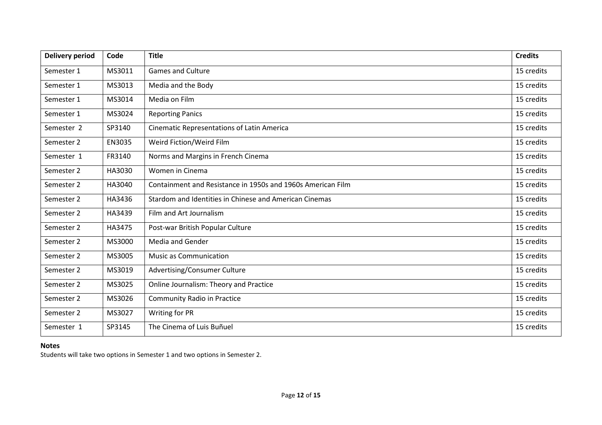| <b>Delivery period</b> | Code   | <b>Title</b>                                                | <b>Credits</b> |
|------------------------|--------|-------------------------------------------------------------|----------------|
| Semester 1             | MS3011 | <b>Games and Culture</b>                                    | 15 credits     |
| Semester 1             | MS3013 | Media and the Body                                          | 15 credits     |
| Semester 1             | MS3014 | Media on Film                                               | 15 credits     |
| Semester 1             | MS3024 | <b>Reporting Panics</b>                                     | 15 credits     |
| Semester 2             | SP3140 | <b>Cinematic Representations of Latin America</b>           | 15 credits     |
| Semester 2             | EN3035 | Weird Fiction/Weird Film                                    | 15 credits     |
| Semester 1             | FR3140 | Norms and Margins in French Cinema                          | 15 credits     |
| Semester 2             | HA3030 | Women in Cinema                                             | 15 credits     |
| Semester 2             | HA3040 | Containment and Resistance in 1950s and 1960s American Film | 15 credits     |
| Semester 2             | HA3436 | Stardom and Identities in Chinese and American Cinemas      | 15 credits     |
| Semester 2             | HA3439 | Film and Art Journalism                                     | 15 credits     |
| Semester 2             | HA3475 | Post-war British Popular Culture                            | 15 credits     |
| Semester 2             | MS3000 | Media and Gender                                            | 15 credits     |
| Semester 2             | MS3005 | <b>Music as Communication</b>                               | 15 credits     |
| Semester 2             | MS3019 | Advertising/Consumer Culture                                | 15 credits     |
| Semester 2             | MS3025 | Online Journalism: Theory and Practice                      | 15 credits     |
| Semester 2             | MS3026 | <b>Community Radio in Practice</b>                          | 15 credits     |
| Semester 2             | MS3027 | Writing for PR                                              | 15 credits     |
| Semester 1             | SP3145 | The Cinema of Luis Buñuel                                   | 15 credits     |

# **Notes**

Students will take two options in Semester 1 and two options in Semester 2.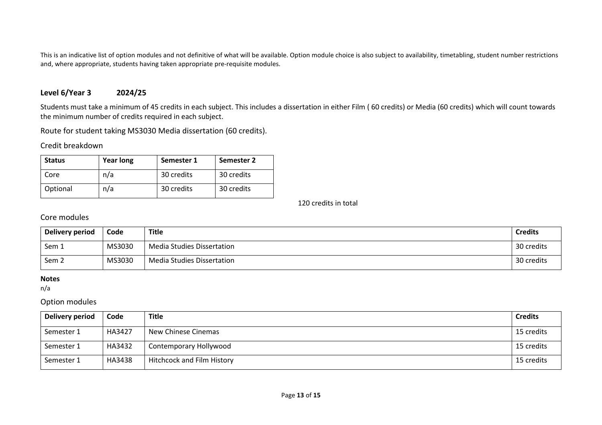This is an indicative list of option modules and not definitive of what will be available. Option module choice is also subject to availability, timetabling, student number restrictions and, where appropriate, students having taken appropriate pre-requisite modules.

## **Level 6/Year 3 2024/25**

Students must take a minimum of 45 credits in each subject. This includes a dissertation in either Film ( 60 credits) or Media (60 credits) which will count towards the minimum number of credits required in each subject.

Route for student taking MS3030 Media dissertation (60 credits).

#### Credit breakdown

| <b>Status</b> | <b>Year long</b> | Semester 1 | Semester 2 |
|---------------|------------------|------------|------------|
| Core          | n/a              | 30 credits | 30 credits |
| Optional      | n/a              | 30 credits | 30 credits |

120 credits in total

# Core modules

| Delivery period  | Code   | <b>Title</b>                      | <b>Credits</b> |
|------------------|--------|-----------------------------------|----------------|
| Sem 1            | MS3030 | <b>Media Studies Dissertation</b> | 30 credits     |
| Sem <sub>2</sub> | MS3030 | Media Studies Dissertation        | 30 credits     |

#### **Notes**

n/a

### Option modules

| Delivery period | Code   | <b>Title</b>                      | <b>Credits</b> |
|-----------------|--------|-----------------------------------|----------------|
| Semester 1      | HA3427 | New Chinese Cinemas               | 15 credits     |
| Semester 1      | HA3432 | Contemporary Hollywood            | 15 credits     |
| Semester 1      | HA3438 | <b>Hitchcock and Film History</b> | 15 credits     |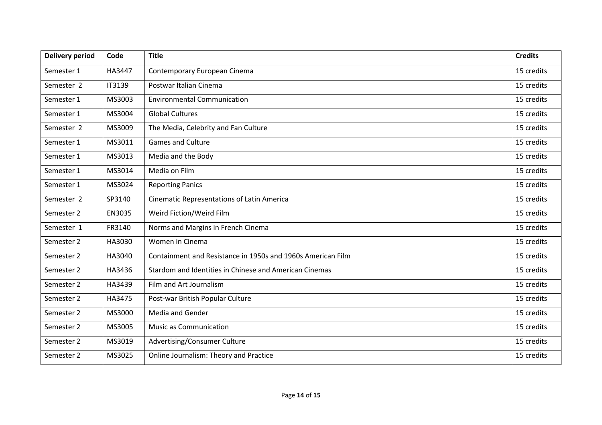| <b>Delivery period</b> | Code   | <b>Title</b>                                                | <b>Credits</b> |
|------------------------|--------|-------------------------------------------------------------|----------------|
| Semester 1             | HA3447 | Contemporary European Cinema                                | 15 credits     |
| Semester 2             | IT3139 | Postwar Italian Cinema                                      | 15 credits     |
| Semester 1             | MS3003 | <b>Environmental Communication</b>                          | 15 credits     |
| Semester 1             | MS3004 | <b>Global Cultures</b>                                      | 15 credits     |
| Semester 2             | MS3009 | The Media, Celebrity and Fan Culture                        | 15 credits     |
| Semester 1             | MS3011 | <b>Games and Culture</b>                                    | 15 credits     |
| Semester 1             | MS3013 | Media and the Body                                          | 15 credits     |
| Semester 1             | MS3014 | Media on Film                                               | 15 credits     |
| Semester 1             | MS3024 | <b>Reporting Panics</b>                                     | 15 credits     |
| Semester 2             | SP3140 | <b>Cinematic Representations of Latin America</b>           | 15 credits     |
| Semester 2             | EN3035 | Weird Fiction/Weird Film                                    | 15 credits     |
| Semester 1             | FR3140 | Norms and Margins in French Cinema                          | 15 credits     |
| Semester 2             | HA3030 | Women in Cinema                                             | 15 credits     |
| Semester 2             | HA3040 | Containment and Resistance in 1950s and 1960s American Film | 15 credits     |
| Semester 2             | HA3436 | Stardom and Identities in Chinese and American Cinemas      | 15 credits     |
| Semester 2             | HA3439 | Film and Art Journalism                                     | 15 credits     |
| Semester 2             | HA3475 | Post-war British Popular Culture                            | 15 credits     |
| Semester 2             | MS3000 | <b>Media and Gender</b>                                     | 15 credits     |
| Semester 2             | MS3005 | <b>Music as Communication</b>                               | 15 credits     |
| Semester 2             | MS3019 | Advertising/Consumer Culture                                | 15 credits     |
| Semester 2             | MS3025 | Online Journalism: Theory and Practice                      | 15 credits     |